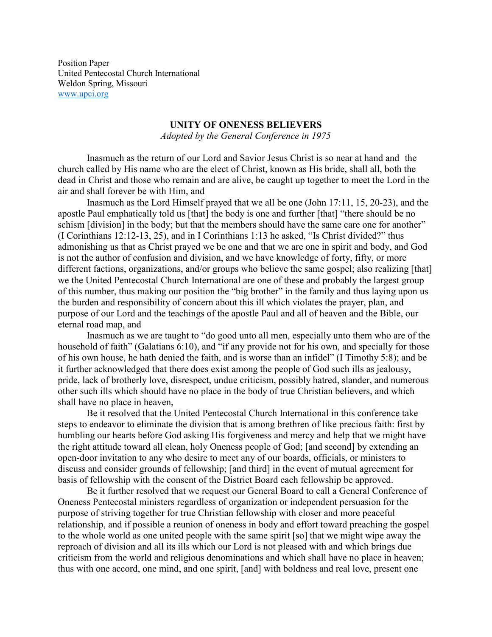Position Paper United Pentecostal Church International Weldon Spring, Missouri [www.upci.org](http://www.upci.org/)

## **UNITY OF ONENESS BELIEVERS**

*Adopted by the General Conference in 1975*

Inasmuch as the return of our Lord and Savior Jesus Christ is so near at hand and the church called by His name who are the elect of Christ, known as His bride, shall all, both the dead in Christ and those who remain and are alive, be caught up together to meet the Lord in the air and shall forever be with Him, and

Inasmuch as the Lord Himself prayed that we all be one (John 17:11, 15, 20-23), and the apostle Paul emphatically told us [that] the body is one and further [that] "there should be no schism [division] in the body; but that the members should have the same care one for another" (I Corinthians 12:12-13, 25), and in I Corinthians 1:13 he asked, "Is Christ divided?" thus admonishing us that as Christ prayed we be one and that we are one in spirit and body, and God is not the author of confusion and division, and we have knowledge of forty, fifty, or more different factions, organizations, and/or groups who believe the same gospel; also realizing [that] we the United Pentecostal Church International are one of these and probably the largest group of this number, thus making our position the "big brother" in the family and thus laying upon us the burden and responsibility of concern about this ill which violates the prayer, plan, and purpose of our Lord and the teachings of the apostle Paul and all of heaven and the Bible, our eternal road map, and

Inasmuch as we are taught to "do good unto all men, especially unto them who are of the household of faith" (Galatians 6:10), and "if any provide not for his own, and specially for those of his own house, he hath denied the faith, and is worse than an infidel" (I Timothy 5:8); and be it further acknowledged that there does exist among the people of God such ills as jealousy, pride, lack of brotherly love, disrespect, undue criticism, possibly hatred, slander, and numerous other such ills which should have no place in the body of true Christian believers, and which shall have no place in heaven,

Be it resolved that the United Pentecostal Church International in this conference take steps to endeavor to eliminate the division that is among brethren of like precious faith: first by humbling our hearts before God asking His forgiveness and mercy and help that we might have the right attitude toward all clean, holy Oneness people of God; [and second] by extending an open-door invitation to any who desire to meet any of our boards, officials, or ministers to discuss and consider grounds of fellowship; [and third] in the event of mutual agreement for basis of fellowship with the consent of the District Board each fellowship be approved.

Be it further resolved that we request our General Board to call a General Conference of Oneness Pentecostal ministers regardless of organization or independent persuasion for the purpose of striving together for true Christian fellowship with closer and more peaceful relationship, and if possible a reunion of oneness in body and effort toward preaching the gospel to the whole world as one united people with the same spirit [so] that we might wipe away the reproach of division and all its ills which our Lord is not pleased with and which brings due criticism from the world and religious denominations and which shall have no place in heaven; thus with one accord, one mind, and one spirit, [and] with boldness and real love, present one